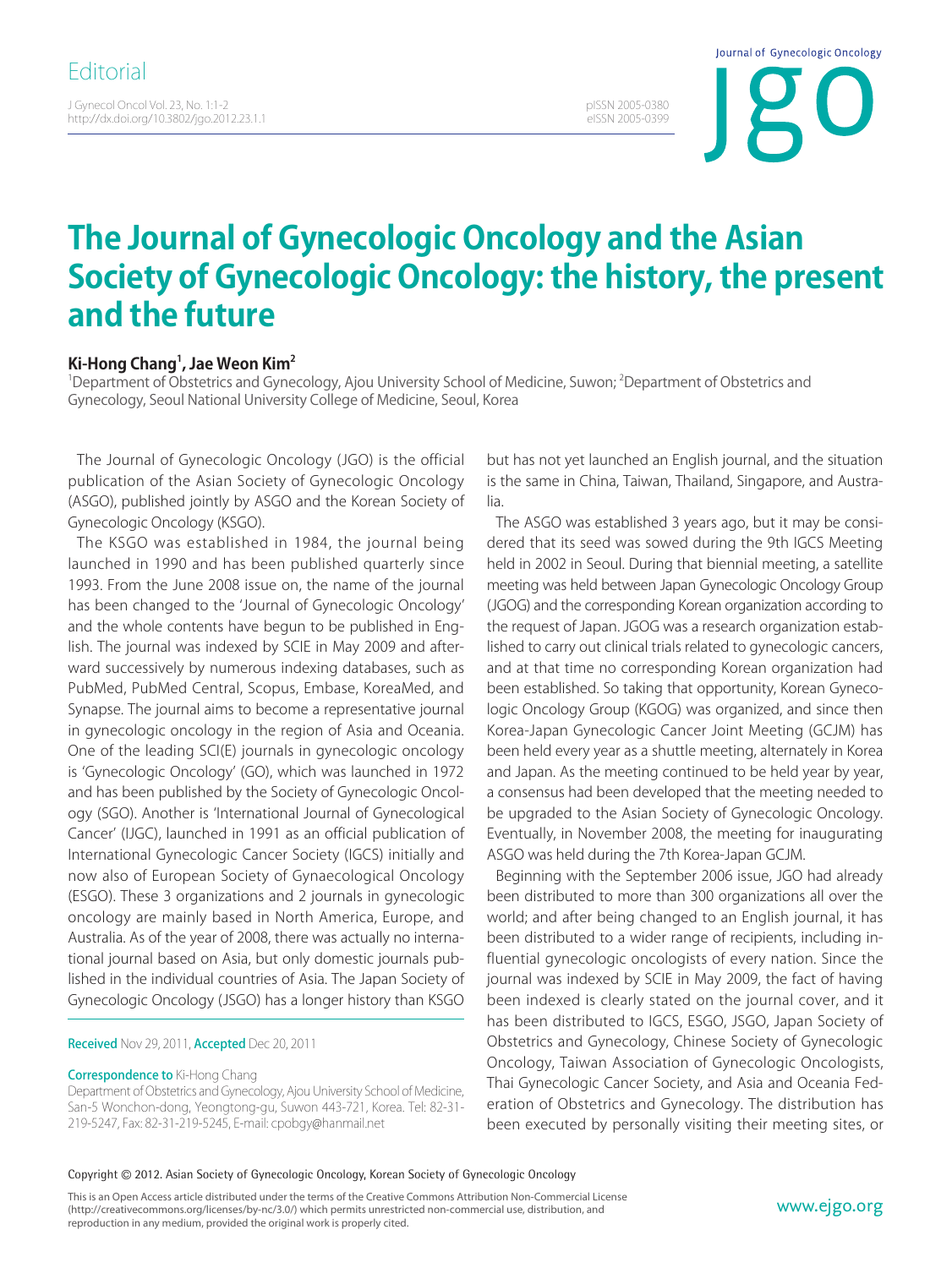J Gynecol Oncol Vol. 23, No. 1:1-2 http://dx.doi.org/10.3802/jgo.2012.23.1.1 Journal of Gynecologic Oncology

pISSN 2005-0380 eISSN 2005-0399

## **The Journal of Gynecologic Oncology and the Asian Society of Gynecologic Oncology: the history, the present and the future**

## **Ki-Hong Chang1 , Jae Weon Kim2**

<sup>1</sup>Department of Obstetrics and Gynecology, Ajou University School of Medicine, Suwon; <sup>2</sup>Department of Obstetrics and Gynecology, Seoul National University College of Medicine, Seoul, Korea

The Journal of Gynecologic Oncology (JGO) is the official publication of the Asian Society of Gynecologic Oncology (ASGO), published jointly by ASGO and the Korean Society of Gynecologic Oncology (KSGO).

The KSGO was established in 1984, the journal being launched in 1990 and has been published quarterly since 1993. From the June 2008 issue on, the name of the journal has been changed to the 'Journal of Gynecologic Oncology' and the whole contents have begun to be published in English. The journal was indexed by SCIE in May 2009 and afterward successively by numerous indexing databases, such as PubMed, PubMed Central, Scopus, Embase, KoreaMed, and Synapse. The journal aims to become a representative journal in gynecologic oncology in the region of Asia and Oceania. One of the leading SCI(E) journals in gynecologic oncology is 'Gynecologic Oncology' (GO), which was launched in 1972 and has been published by the Society of Gynecologic Oncology (SGO). Another is 'International Journal of Gynecological Cancer' (IJGC), launched in 1991 as an official publication of International Gynecologic Cancer Society (IGCS) initially and now also of European Society of Gynaecological Oncology (ESGO). These 3 organizations and 2 journals in gynecologic oncology are mainly based in North America, Europe, and Australia. As of the year of 2008, there was actually no international journal based on Asia, but only domestic journals published in the individual countries of Asia. The Japan Society of Gynecologic Oncology (JSGO) has a longer history than KSGO

Received Nov 29, 2011, Accepted Dec 20, 2011

**Correspondence to Ki-Hong Chang** 

Department of Obstetrics and Gynecology, Ajou University School of Medicine, San-5 Wonchon-dong, Yeongtong-gu, Suwon 443-721, Korea. Tel: 82-31- 219-5247, Fax: 82-31-219-5245, E-mail: cpobgy@hanmail.net

but has not yet launched an English journal, and the situation is the same in China, Taiwan, Thailand, Singapore, and Australia.

The ASGO was established 3 years ago, but it may be considered that its seed was sowed during the 9th IGCS Meeting held in 2002 in Seoul. During that biennial meeting, a satellite meeting was held between Japan Gynecologic Oncology Group (JGOG) and the corresponding Korean organization according to the request of Japan. JGOG was a research organization established to carry out clinical trials related to gynecologic cancers, and at that time no corresponding Korean organization had been established. So taking that opportunity, Korean Gynecologic Oncology Group (KGOG) was organized, and since then Korea-Japan Gynecologic Cancer Joint Meeting (GCJM) has been held every year as a shuttle meeting, alternately in Korea and Japan. As the meeting continued to be held year by year, a consensus had been developed that the meeting needed to be upgraded to the Asian Society of Gynecologic Oncology. Eventually, in November 2008, the meeting for inaugurating ASGO was held during the 7th Korea-Japan GCJM.

Beginning with the September 2006 issue, JGO had already been distributed to more than 300 organizations all over the world; and after being changed to an English journal, it has been distributed to a wider range of recipients, including influential gynecologic oncologists of every nation. Since the journal was indexed by SCIE in May 2009, the fact of having been indexed is clearly stated on the journal cover, and it has been distributed to IGCS, ESGO, JSGO, Japan Society of Obstetrics and Gynecology, Chinese Society of Gynecologic Oncology, Taiwan Association of Gynecologic Oncologists, Thai Gynecologic Cancer Society, and Asia and Oceania Federation of Obstetrics and Gynecology. The distribution has been executed by personally visiting their meeting sites, or

## Copyright © 2012. Asian Society of Gynecologic Oncology, Korean Society of Gynecologic Oncology

This is an Open Access article distributed under the terms of the Creative Commons Attribution Non-Commercial License (http://creativecommons.org/licenses/by-nc/3.0/) which permits unrestricted non-commercial use, distribution, and reproduction in any medium, provided the original work is properly cited.